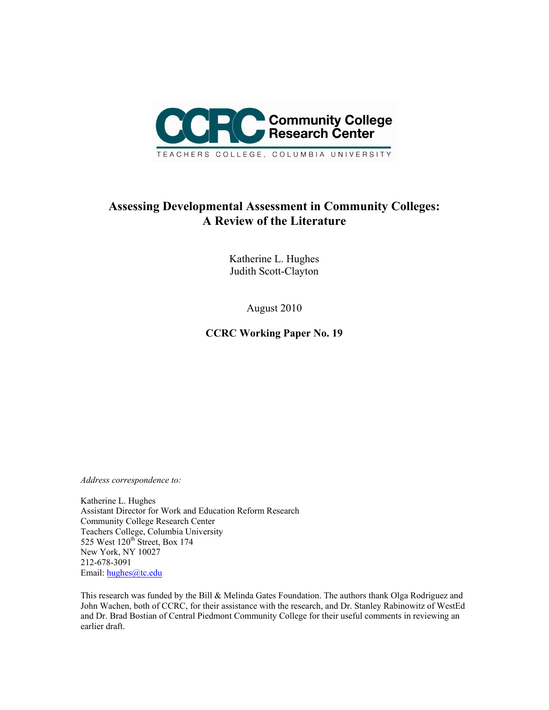

# **Assessing Developmental Assessment in Community Colleges: A Review of the Literature**

Katherine L. Hughes Judith Scott-Clayton

August 2010

**CCRC Working Paper No. 19** 

*Address correspondence to:*

Katherine L. Hughes Assistant Director for Work and Education Reform Research Community College Research Center Teachers College, Columbia University 525 West 120<sup>th</sup> Street, Box 174 New York, NY 10027 212-678-3091 Email: hughes@tc.edu

This research was funded by the Bill & Melinda Gates Foundation. The authors thank Olga Rodriguez and John Wachen, both of CCRC, for their assistance with the research, and Dr. Stanley Rabinowitz of WestEd and Dr. Brad Bostian of Central Piedmont Community College for their useful comments in reviewing an earlier draft.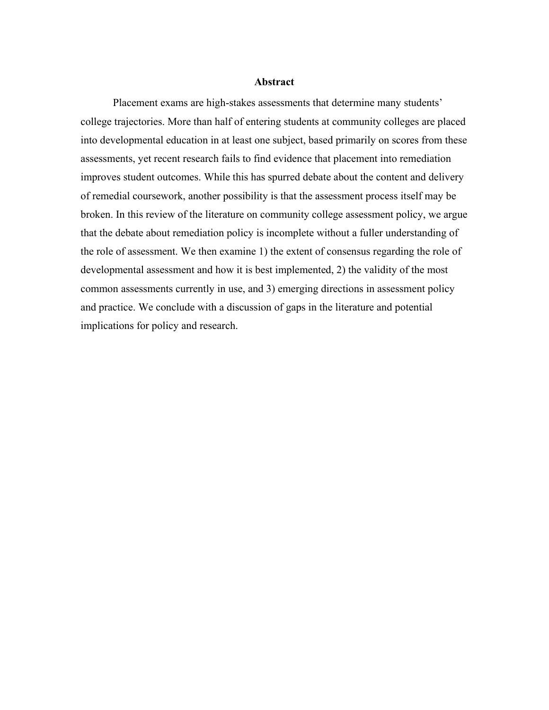#### **Abstract**

Placement exams are high-stakes assessments that determine many students' college trajectories. More than half of entering students at community colleges are placed into developmental education in at least one subject, based primarily on scores from these assessments, yet recent research fails to find evidence that placement into remediation improves student outcomes. While this has spurred debate about the content and delivery of remedial coursework, another possibility is that the assessment process itself may be broken. In this review of the literature on community college assessment policy, we argue that the debate about remediation policy is incomplete without a fuller understanding of the role of assessment. We then examine 1) the extent of consensus regarding the role of developmental assessment and how it is best implemented, 2) the validity of the most common assessments currently in use, and 3) emerging directions in assessment policy and practice. We conclude with a discussion of gaps in the literature and potential implications for policy and research.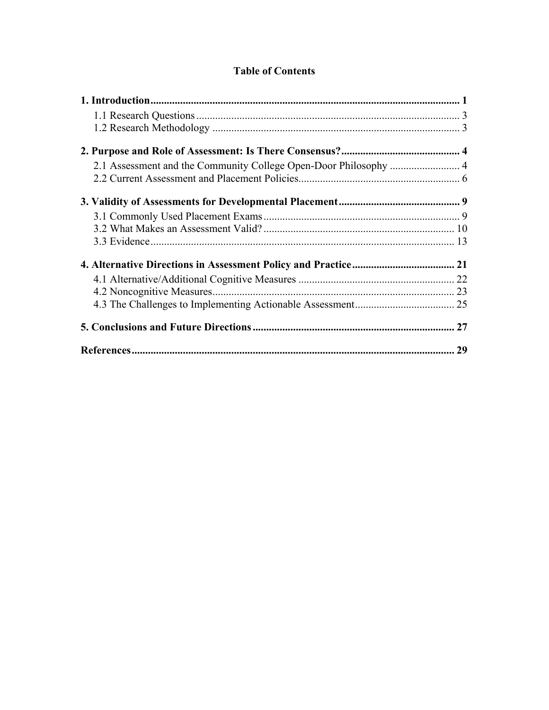# **Table of Contents**

| 29 |
|----|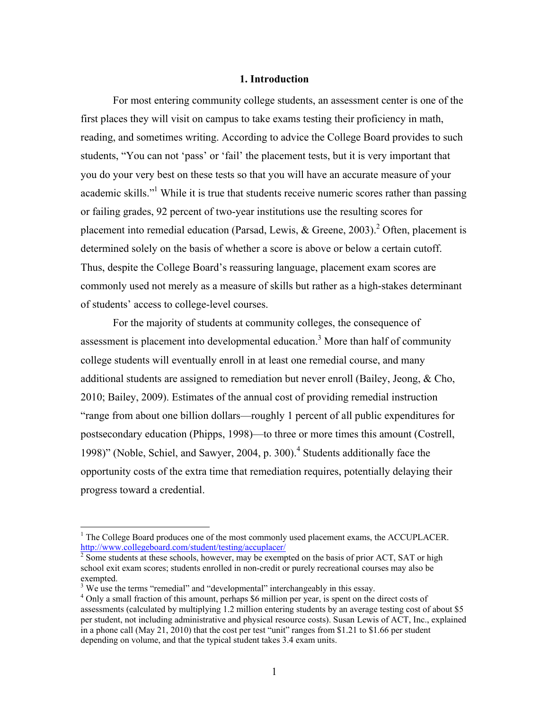## **1. Introduction**

For most entering community college students, an assessment center is one of the first places they will visit on campus to take exams testing their proficiency in math, reading, and sometimes writing. According to advice the College Board provides to such students, "You can not 'pass' or 'fail' the placement tests, but it is very important that you do your very best on these tests so that you will have an accurate measure of your academic skills."<sup>1</sup> While it is true that students receive numeric scores rather than passing or failing grades, 92 percent of two-year institutions use the resulting scores for placement into remedial education (Parsad, Lewis, & Greene, 2003).<sup>2</sup> Often, placement is determined solely on the basis of whether a score is above or below a certain cutoff. Thus, despite the College Board's reassuring language, placement exam scores are commonly used not merely as a measure of skills but rather as a high-stakes determinant of students' access to college-level courses.

For the majority of students at community colleges, the consequence of assessment is placement into developmental education.<sup>3</sup> More than half of community college students will eventually enroll in at least one remedial course, and many additional students are assigned to remediation but never enroll (Bailey, Jeong, & Cho, 2010; Bailey, 2009). Estimates of the annual cost of providing remedial instruction "range from about one billion dollars—roughly 1 percent of all public expenditures for postsecondary education (Phipps, 1998)—to three or more times this amount (Costrell, 1998)" (Noble, Schiel, and Sawyer, 2004, p. 300).<sup>4</sup> Students additionally face the opportunity costs of the extra time that remediation requires, potentially delaying their progress toward a credential.

 $<sup>1</sup>$  The College Board produces one of the most commonly used placement exams, the ACCUPLACER.</sup> http://www.collegeboard.com/student/testing/accuplacer/ 2

Some students at these schools, however, may be exempted on the basis of prior ACT, SAT or high school exit exam scores; students enrolled in non-credit or purely recreational courses may also be exempted.

<sup>&</sup>lt;sup>3</sup> We use the terms "remedial" and "developmental" interchangeably in this essay.

<sup>&</sup>lt;sup>4</sup> Only a small fraction of this amount, perhaps \$6 million per year, is spent on the direct costs of assessments (calculated by multiplying 1.2 million entering students by an average testing cost of about \$5 per student, not including administrative and physical resource costs). Susan Lewis of ACT, Inc., explained in a phone call (May 21, 2010) that the cost per test "unit" ranges from \$1.21 to \$1.66 per student depending on volume, and that the typical student takes 3.4 exam units.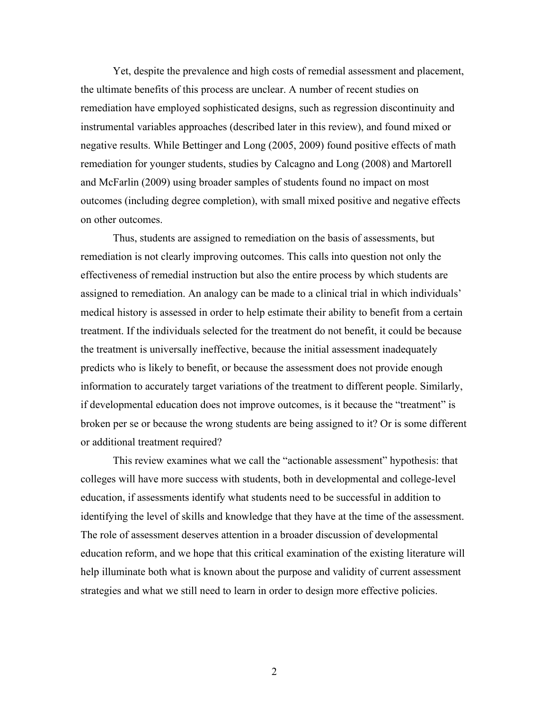Yet, despite the prevalence and high costs of remedial assessment and placement, the ultimate benefits of this process are unclear. A number of recent studies on remediation have employed sophisticated designs, such as regression discontinuity and instrumental variables approaches (described later in this review), and found mixed or negative results. While Bettinger and Long (2005, 2009) found positive effects of math remediation for younger students, studies by Calcagno and Long (2008) and Martorell and McFarlin (2009) using broader samples of students found no impact on most outcomes (including degree completion), with small mixed positive and negative effects on other outcomes.

Thus, students are assigned to remediation on the basis of assessments, but remediation is not clearly improving outcomes. This calls into question not only the effectiveness of remedial instruction but also the entire process by which students are assigned to remediation. An analogy can be made to a clinical trial in which individuals' medical history is assessed in order to help estimate their ability to benefit from a certain treatment. If the individuals selected for the treatment do not benefit, it could be because the treatment is universally ineffective, because the initial assessment inadequately predicts who is likely to benefit, or because the assessment does not provide enough information to accurately target variations of the treatment to different people. Similarly, if developmental education does not improve outcomes, is it because the "treatment" is broken per se or because the wrong students are being assigned to it? Or is some different or additional treatment required?

This review examines what we call the "actionable assessment" hypothesis: that colleges will have more success with students, both in developmental and college-level education, if assessments identify what students need to be successful in addition to identifying the level of skills and knowledge that they have at the time of the assessment. The role of assessment deserves attention in a broader discussion of developmental education reform, and we hope that this critical examination of the existing literature will help illuminate both what is known about the purpose and validity of current assessment strategies and what we still need to learn in order to design more effective policies.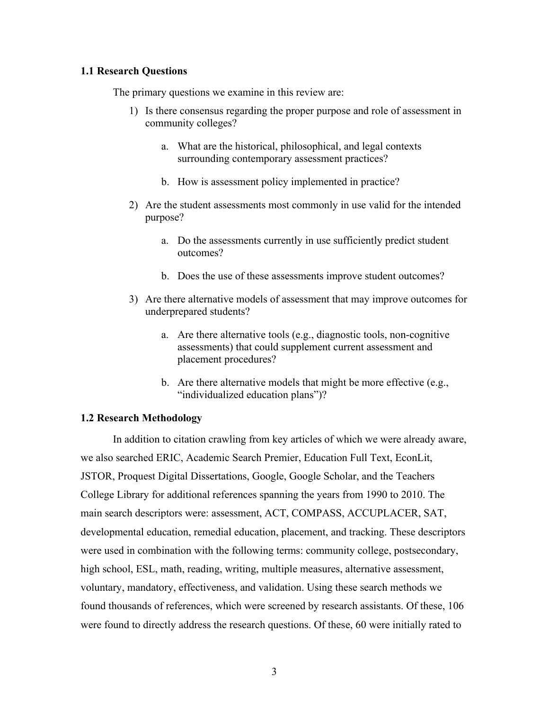### **1.1 Research Questions**

The primary questions we examine in this review are:

- 1) Is there consensus regarding the proper purpose and role of assessment in community colleges?
	- a. What are the historical, philosophical, and legal contexts surrounding contemporary assessment practices?
	- b. How is assessment policy implemented in practice?
- 2) Are the student assessments most commonly in use valid for the intended purpose?
	- a. Do the assessments currently in use sufficiently predict student outcomes?
	- b. Does the use of these assessments improve student outcomes?
- 3) Are there alternative models of assessment that may improve outcomes for underprepared students?
	- a. Are there alternative tools (e.g., diagnostic tools, non-cognitive assessments) that could supplement current assessment and placement procedures?
	- b. Are there alternative models that might be more effective (e.g., "individualized education plans")?

## **1.2 Research Methodology**

In addition to citation crawling from key articles of which we were already aware, we also searched ERIC, Academic Search Premier, Education Full Text, EconLit, JSTOR, Proquest Digital Dissertations, Google, Google Scholar, and the Teachers College Library for additional references spanning the years from 1990 to 2010. The main search descriptors were: assessment, ACT, COMPASS, ACCUPLACER, SAT, developmental education, remedial education, placement, and tracking. These descriptors were used in combination with the following terms: community college, postsecondary, high school, ESL, math, reading, writing, multiple measures, alternative assessment, voluntary, mandatory, effectiveness, and validation. Using these search methods we found thousands of references, which were screened by research assistants. Of these, 106 were found to directly address the research questions. Of these, 60 were initially rated to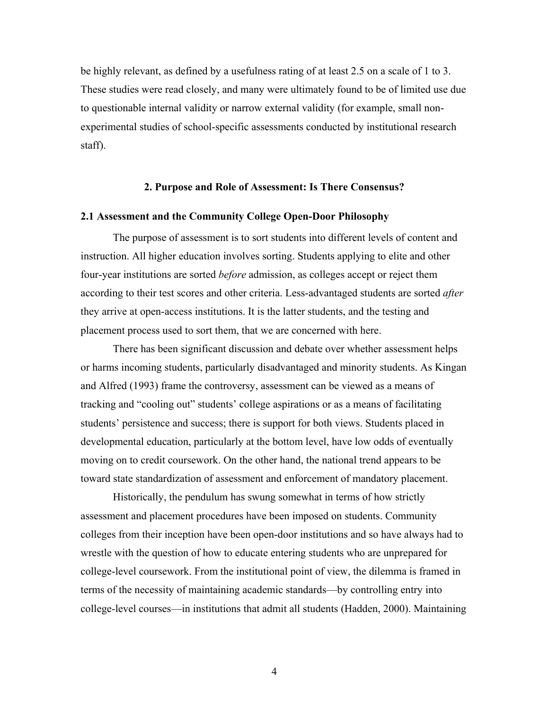be highly relevant, as defined by a usefulness rating of at least 2.5 on a scale of 1 to 3. These studies were read closely, and many were ultimately found to be of limited use due to questionable internal validity or narrow external validity (for example, small nonexperimental studies of school-specific assessments conducted by institutional research staff).

#### **2. Purpose and Role of Assessment: Is There Consensus?**

#### **2.1 Assessment and the Community College Open-Door Philosophy**

The purpose of assessment is to sort students into different levels of content and instruction. All higher education involves sorting. Students applying to elite and other four-year institutions are sorted *before* admission, as colleges accept or reject them according to their test scores and other criteria. Less-advantaged students are sorted *after* they arrive at open-access institutions. It is the latter students, and the testing and placement process used to sort them, that we are concerned with here.

There has been significant discussion and debate over whether assessment helps or harms incoming students, particularly disadvantaged and minority students. As Kingan and Alfred (1993) frame the controversy, assessment can be viewed as a means of tracking and "cooling out" students' college aspirations or as a means of facilitating students' persistence and success; there is support for both views. Students placed in developmental education, particularly at the bottom level, have low odds of eventually moving on to credit coursework. On the other hand, the national trend appears to be toward state standardization of assessment and enforcement of mandatory placement.

Historically, the pendulum has swung somewhat in terms of how strictly assessment and placement procedures have been imposed on students. Community colleges from their inception have been open-door institutions and so have always had to wrestle with the question of how to educate entering students who are unprepared for college-level coursework. From the institutional point of view, the dilemma is framed in terms of the necessity of maintaining academic standards—by controlling entry into college-level courses—in institutions that admit all students (Hadden, 2000). Maintaining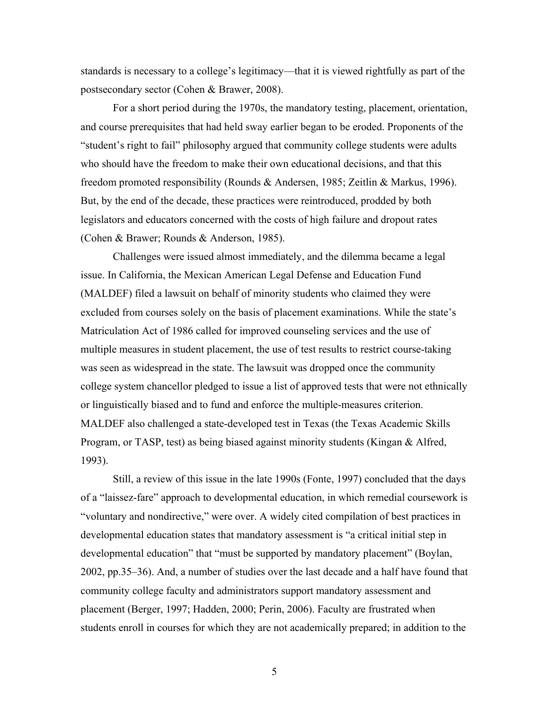standards is necessary to a college's legitimacy—that it is viewed rightfully as part of the postsecondary sector (Cohen & Brawer, 2008).

For a short period during the 1970s, the mandatory testing, placement, orientation, and course prerequisites that had held sway earlier began to be eroded. Proponents of the "student's right to fail" philosophy argued that community college students were adults who should have the freedom to make their own educational decisions, and that this freedom promoted responsibility (Rounds & Andersen, 1985; Zeitlin & Markus, 1996). But, by the end of the decade, these practices were reintroduced, prodded by both legislators and educators concerned with the costs of high failure and dropout rates (Cohen & Brawer; Rounds & Anderson, 1985).

Challenges were issued almost immediately, and the dilemma became a legal issue. In California, the Mexican American Legal Defense and Education Fund (MALDEF) filed a lawsuit on behalf of minority students who claimed they were excluded from courses solely on the basis of placement examinations. While the state's Matriculation Act of 1986 called for improved counseling services and the use of multiple measures in student placement, the use of test results to restrict course-taking was seen as widespread in the state. The lawsuit was dropped once the community college system chancellor pledged to issue a list of approved tests that were not ethnically or linguistically biased and to fund and enforce the multiple-measures criterion. MALDEF also challenged a state-developed test in Texas (the Texas Academic Skills Program, or TASP, test) as being biased against minority students (Kingan & Alfred, 1993).

Still, a review of this issue in the late 1990s (Fonte, 1997) concluded that the days of a "laissez-fare" approach to developmental education, in which remedial coursework is "voluntary and nondirective," were over. A widely cited compilation of best practices in developmental education states that mandatory assessment is "a critical initial step in developmental education" that "must be supported by mandatory placement" (Boylan, 2002, pp.35–36). And, a number of studies over the last decade and a half have found that community college faculty and administrators support mandatory assessment and placement (Berger, 1997; Hadden, 2000; Perin, 2006). Faculty are frustrated when students enroll in courses for which they are not academically prepared; in addition to the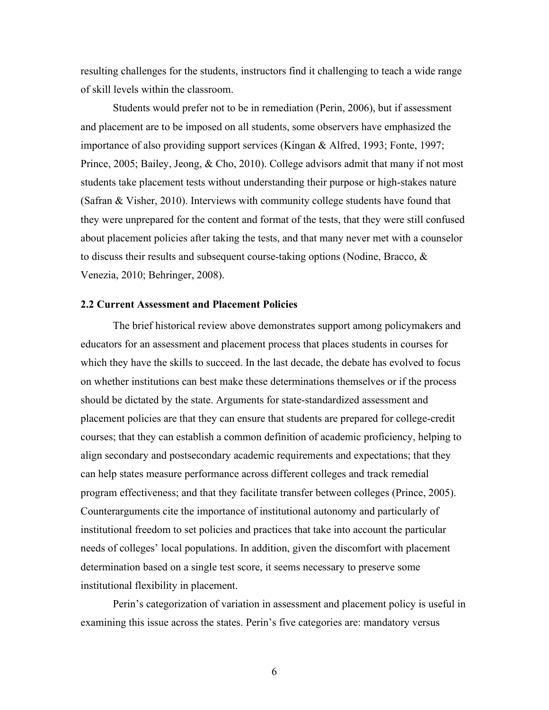resulting challenges for the students, instructors find it challenging to teach a wide range of skill levels within the classroom.

Students would prefer not to be in remediation (Perin, 2006), but if assessment and placement are to be imposed on all students, some observers have emphasized the importance of also providing support services (Kingan & Alfred, 1993; Fonte, 1997; Prince, 2005; Bailey, Jeong, & Cho, 2010). College advisors admit that many if not most students take placement tests without understanding their purpose or high-stakes nature (Safran & Visher, 2010). Interviews with community college students have found that they were unprepared for the content and format of the tests, that they were still confused about placement policies after taking the tests, and that many never met with a counselor to discuss their results and subsequent course-taking options (Nodine, Bracco, & Venezia, 2010; Behringer, 2008).

#### **2.2 Current Assessment and Placement Policies**

The brief historical review above demonstrates support among policymakers and educators for an assessment and placement process that places students in courses for which they have the skills to succeed. In the last decade, the debate has evolved to focus on whether institutions can best make these determinations themselves or if the process should be dictated by the state. Arguments for state-standardized assessment and placement policies are that they can ensure that students are prepared for college-credit courses; that they can establish a common definition of academic proficiency, helping to align secondary and postsecondary academic requirements and expectations; that they can help states measure performance across different colleges and track remedial program effectiveness; and that they facilitate transfer between colleges (Prince, 2005). Counterarguments cite the importance of institutional autonomy and particularly of institutional freedom to set policies and practices that take into account the particular needs of colleges' local populations. In addition, given the discomfort with placement determination based on a single test score, it seems necessary to preserve some institutional flexibility in placement.

Perin's categorization of variation in assessment and placement policy is useful in examining this issue across the states. Perin's five categories are: mandatory versus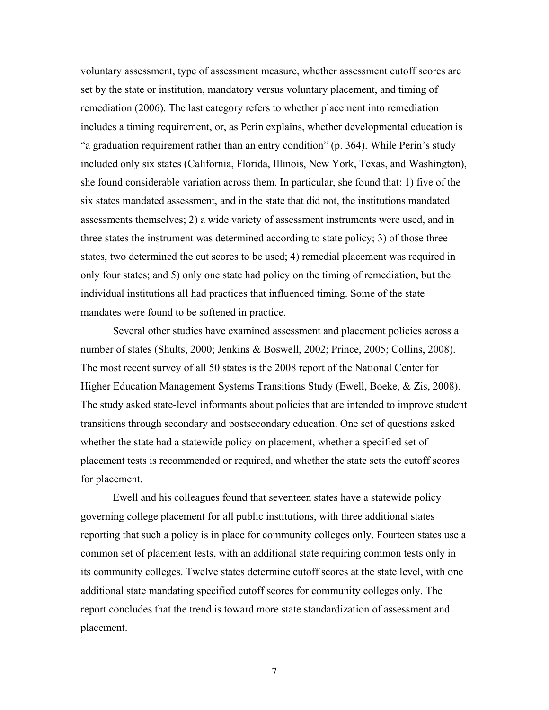voluntary assessment, type of assessment measure, whether assessment cutoff scores are set by the state or institution, mandatory versus voluntary placement, and timing of remediation (2006). The last category refers to whether placement into remediation includes a timing requirement, or, as Perin explains, whether developmental education is "a graduation requirement rather than an entry condition" (p. 364). While Perin's study included only six states (California, Florida, Illinois, New York, Texas, and Washington), she found considerable variation across them. In particular, she found that: 1) five of the six states mandated assessment, and in the state that did not, the institutions mandated assessments themselves; 2) a wide variety of assessment instruments were used, and in three states the instrument was determined according to state policy; 3) of those three states, two determined the cut scores to be used; 4) remedial placement was required in only four states; and 5) only one state had policy on the timing of remediation, but the individual institutions all had practices that influenced timing. Some of the state mandates were found to be softened in practice.

Several other studies have examined assessment and placement policies across a number of states (Shults, 2000; Jenkins & Boswell, 2002; Prince, 2005; Collins, 2008). The most recent survey of all 50 states is the 2008 report of the National Center for Higher Education Management Systems Transitions Study (Ewell, Boeke, & Zis, 2008). The study asked state-level informants about policies that are intended to improve student transitions through secondary and postsecondary education. One set of questions asked whether the state had a statewide policy on placement, whether a specified set of placement tests is recommended or required, and whether the state sets the cutoff scores for placement.

Ewell and his colleagues found that seventeen states have a statewide policy governing college placement for all public institutions, with three additional states reporting that such a policy is in place for community colleges only. Fourteen states use a common set of placement tests, with an additional state requiring common tests only in its community colleges. Twelve states determine cutoff scores at the state level, with one additional state mandating specified cutoff scores for community colleges only. The report concludes that the trend is toward more state standardization of assessment and placement.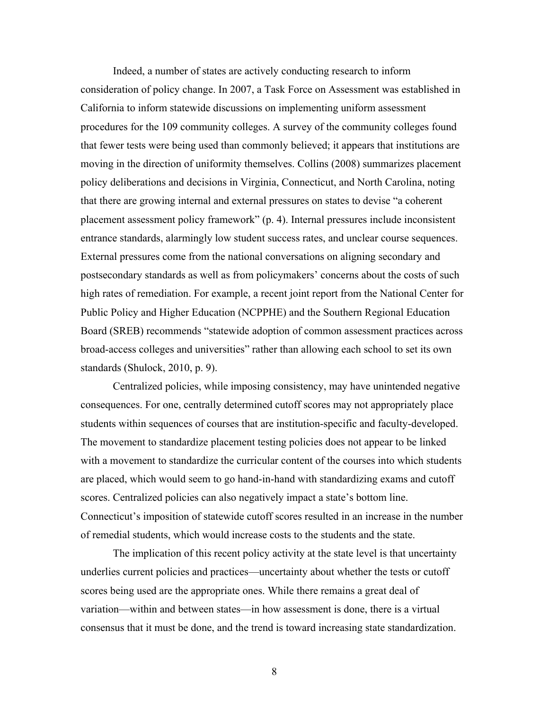Indeed, a number of states are actively conducting research to inform consideration of policy change. In 2007, a Task Force on Assessment was established in California to inform statewide discussions on implementing uniform assessment procedures for the 109 community colleges. A survey of the community colleges found that fewer tests were being used than commonly believed; it appears that institutions are moving in the direction of uniformity themselves. Collins (2008) summarizes placement policy deliberations and decisions in Virginia, Connecticut, and North Carolina, noting that there are growing internal and external pressures on states to devise "a coherent placement assessment policy framework" (p. 4). Internal pressures include inconsistent entrance standards, alarmingly low student success rates, and unclear course sequences. External pressures come from the national conversations on aligning secondary and postsecondary standards as well as from policymakers' concerns about the costs of such high rates of remediation. For example, a recent joint report from the National Center for Public Policy and Higher Education (NCPPHE) and the Southern Regional Education Board (SREB) recommends "statewide adoption of common assessment practices across broad-access colleges and universities" rather than allowing each school to set its own standards (Shulock, 2010, p. 9).

Centralized policies, while imposing consistency, may have unintended negative consequences. For one, centrally determined cutoff scores may not appropriately place students within sequences of courses that are institution-specific and faculty-developed. The movement to standardize placement testing policies does not appear to be linked with a movement to standardize the curricular content of the courses into which students are placed, which would seem to go hand-in-hand with standardizing exams and cutoff scores. Centralized policies can also negatively impact a state's bottom line. Connecticut's imposition of statewide cutoff scores resulted in an increase in the number of remedial students, which would increase costs to the students and the state.

The implication of this recent policy activity at the state level is that uncertainty underlies current policies and practices—uncertainty about whether the tests or cutoff scores being used are the appropriate ones. While there remains a great deal of variation—within and between states—in how assessment is done, there is a virtual consensus that it must be done, and the trend is toward increasing state standardization.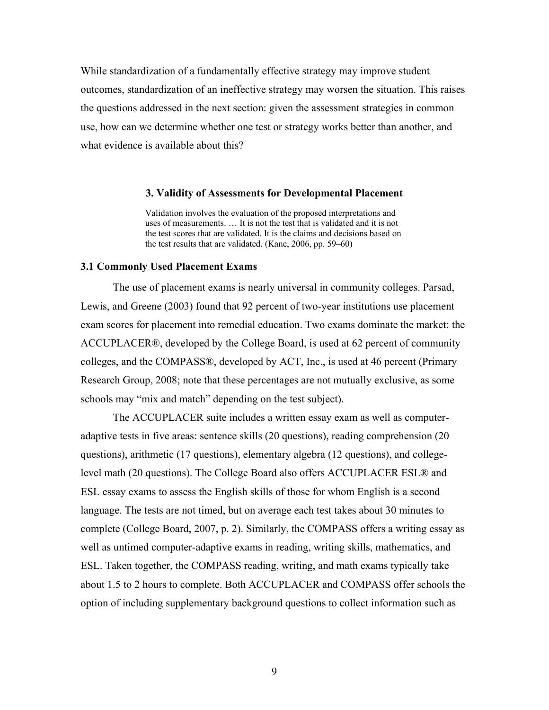While standardization of a fundamentally effective strategy may improve student outcomes, standardization of an ineffective strategy may worsen the situation. This raises the questions addressed in the next section: given the assessment strategies in common use, how can we determine whether one test or strategy works better than another, and what evidence is available about this?

#### **3. Validity of Assessments for Developmental Placement**

Validation involves the evaluation of the proposed interpretations and uses of measurements. … It is not the test that is validated and it is not the test scores that are validated. It is the claims and decisions based on the test results that are validated. (Kane, 2006, pp. 59–60)

#### **3.1 Commonly Used Placement Exams**

The use of placement exams is nearly universal in community colleges. Parsad, Lewis, and Greene (2003) found that 92 percent of two-year institutions use placement exam scores for placement into remedial education. Two exams dominate the market: the ACCUPLACER®, developed by the College Board, is used at 62 percent of community colleges, and the COMPASS®, developed by ACT, Inc., is used at 46 percent (Primary Research Group, 2008; note that these percentages are not mutually exclusive, as some schools may "mix and match" depending on the test subject).

The ACCUPLACER suite includes a written essay exam as well as computeradaptive tests in five areas: sentence skills (20 questions), reading comprehension (20 questions), arithmetic (17 questions), elementary algebra (12 questions), and collegelevel math (20 questions). The College Board also offers ACCUPLACER ESL® and ESL essay exams to assess the English skills of those for whom English is a second language. The tests are not timed, but on average each test takes about 30 minutes to complete (College Board, 2007, p. 2). Similarly, the COMPASS offers a writing essay as well as untimed computer-adaptive exams in reading, writing skills, mathematics, and ESL. Taken together, the COMPASS reading, writing, and math exams typically take about 1.5 to 2 hours to complete. Both ACCUPLACER and COMPASS offer schools the option of including supplementary background questions to collect information such as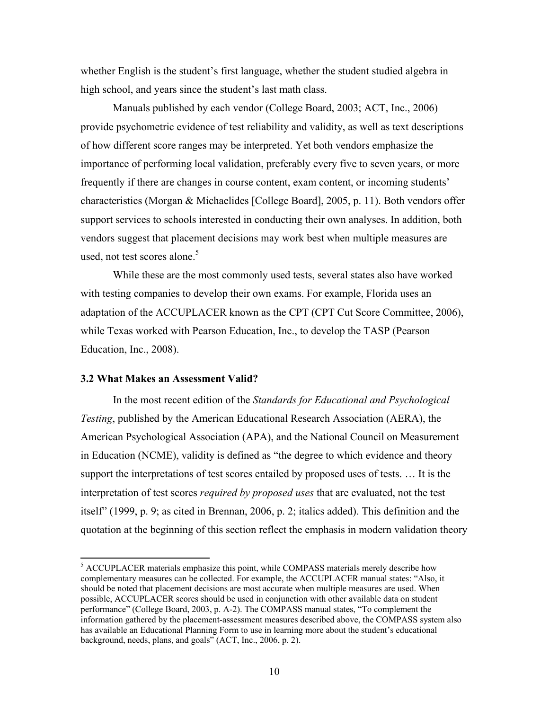whether English is the student's first language, whether the student studied algebra in high school, and years since the student's last math class.

Manuals published by each vendor (College Board, 2003; ACT, Inc., 2006) provide psychometric evidence of test reliability and validity, as well as text descriptions of how different score ranges may be interpreted. Yet both vendors emphasize the importance of performing local validation, preferably every five to seven years, or more frequently if there are changes in course content, exam content, or incoming students' characteristics (Morgan & Michaelides [College Board], 2005, p. 11). Both vendors offer support services to schools interested in conducting their own analyses. In addition, both vendors suggest that placement decisions may work best when multiple measures are used, not test scores alone. $5$ 

While these are the most commonly used tests, several states also have worked with testing companies to develop their own exams. For example, Florida uses an adaptation of the ACCUPLACER known as the CPT (CPT Cut Score Committee, 2006), while Texas worked with Pearson Education, Inc., to develop the TASP (Pearson Education, Inc., 2008).

#### **3.2 What Makes an Assessment Valid?**

In the most recent edition of the *Standards for Educational and Psychological Testing*, published by the American Educational Research Association (AERA), the American Psychological Association (APA), and the National Council on Measurement in Education (NCME), validity is defined as "the degree to which evidence and theory support the interpretations of test scores entailed by proposed uses of tests. … It is the interpretation of test scores *required by proposed uses* that are evaluated, not the test itself" (1999, p. 9; as cited in Brennan, 2006, p. 2; italics added). This definition and the quotation at the beginning of this section reflect the emphasis in modern validation theory

 5 ACCUPLACER materials emphasize this point, while COMPASS materials merely describe how complementary measures can be collected. For example, the ACCUPLACER manual states: "Also, it should be noted that placement decisions are most accurate when multiple measures are used. When possible, ACCUPLACER scores should be used in conjunction with other available data on student performance" (College Board, 2003, p. A-2). The COMPASS manual states, "To complement the information gathered by the placement-assessment measures described above, the COMPASS system also has available an Educational Planning Form to use in learning more about the student's educational background, needs, plans, and goals" (ACT, Inc., 2006, p. 2).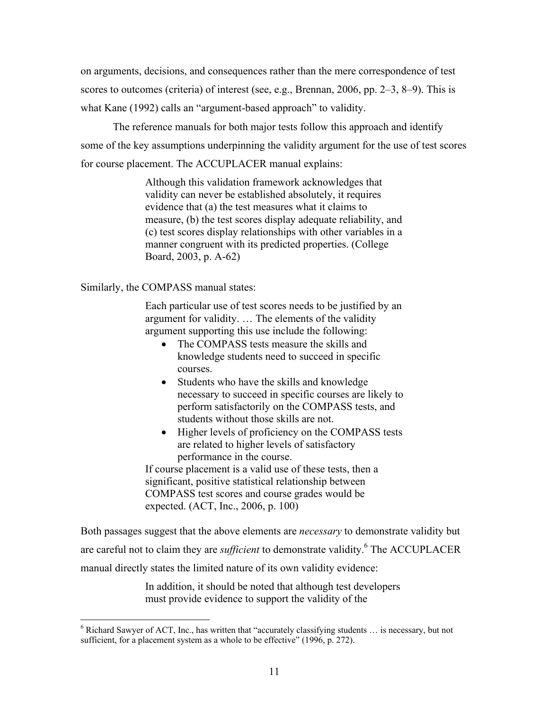on arguments, decisions, and consequences rather than the mere correspondence of test scores to outcomes (criteria) of interest (see, e.g., Brennan, 2006, pp. 2–3, 8–9). This is what Kane (1992) calls an "argument-based approach" to validity.

The reference manuals for both major tests follow this approach and identify some of the key assumptions underpinning the validity argument for the use of test scores for course placement. The ACCUPLACER manual explains:

> Although this validation framework acknowledges that validity can never be established absolutely, it requires evidence that (a) the test measures what it claims to measure, (b) the test scores display adequate reliability, and (c) test scores display relationships with other variables in a manner congruent with its predicted properties. (College Board, 2003, p. A-62)

Similarly, the COMPASS manual states:

Each particular use of test scores needs to be justified by an argument for validity. … The elements of the validity argument supporting this use include the following:

- The COMPASS tests measure the skills and knowledge students need to succeed in specific courses.
- Students who have the skills and knowledge necessary to succeed in specific courses are likely to perform satisfactorily on the COMPASS tests, and students without those skills are not.
- Higher levels of proficiency on the COMPASS tests are related to higher levels of satisfactory performance in the course.

If course placement is a valid use of these tests, then a significant, positive statistical relationship between COMPASS test scores and course grades would be expected. (ACT, Inc., 2006, p. 100)

Both passages suggest that the above elements are *necessary* to demonstrate validity but are careful not to claim they are *sufficient* to demonstrate validity.<sup>6</sup> The ACCUPLACER manual directly states the limited nature of its own validity evidence:

> In addition, it should be noted that although test developers must provide evidence to support the validity of the

 6 Richard Sawyer of ACT, Inc., has written that "accurately classifying students … is necessary, but not sufficient, for a placement system as a whole to be effective" (1996, p. 272).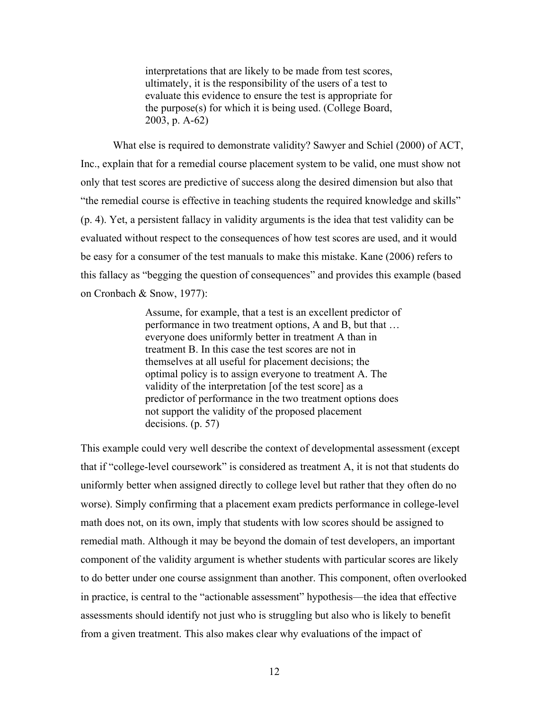interpretations that are likely to be made from test scores, ultimately, it is the responsibility of the users of a test to evaluate this evidence to ensure the test is appropriate for the purpose(s) for which it is being used. (College Board, 2003, p. A-62)

What else is required to demonstrate validity? Sawyer and Schiel (2000) of ACT, Inc., explain that for a remedial course placement system to be valid, one must show not only that test scores are predictive of success along the desired dimension but also that "the remedial course is effective in teaching students the required knowledge and skills" (p. 4). Yet, a persistent fallacy in validity arguments is the idea that test validity can be evaluated without respect to the consequences of how test scores are used, and it would be easy for a consumer of the test manuals to make this mistake. Kane (2006) refers to this fallacy as "begging the question of consequences" and provides this example (based on Cronbach & Snow, 1977):

> Assume, for example, that a test is an excellent predictor of performance in two treatment options, A and B, but that … everyone does uniformly better in treatment A than in treatment B. In this case the test scores are not in themselves at all useful for placement decisions; the optimal policy is to assign everyone to treatment A. The validity of the interpretation [of the test score] as a predictor of performance in the two treatment options does not support the validity of the proposed placement decisions. (p. 57)

This example could very well describe the context of developmental assessment (except that if "college-level coursework" is considered as treatment A, it is not that students do uniformly better when assigned directly to college level but rather that they often do no worse). Simply confirming that a placement exam predicts performance in college-level math does not, on its own, imply that students with low scores should be assigned to remedial math. Although it may be beyond the domain of test developers, an important component of the validity argument is whether students with particular scores are likely to do better under one course assignment than another. This component, often overlooked in practice, is central to the "actionable assessment" hypothesis—the idea that effective assessments should identify not just who is struggling but also who is likely to benefit from a given treatment. This also makes clear why evaluations of the impact of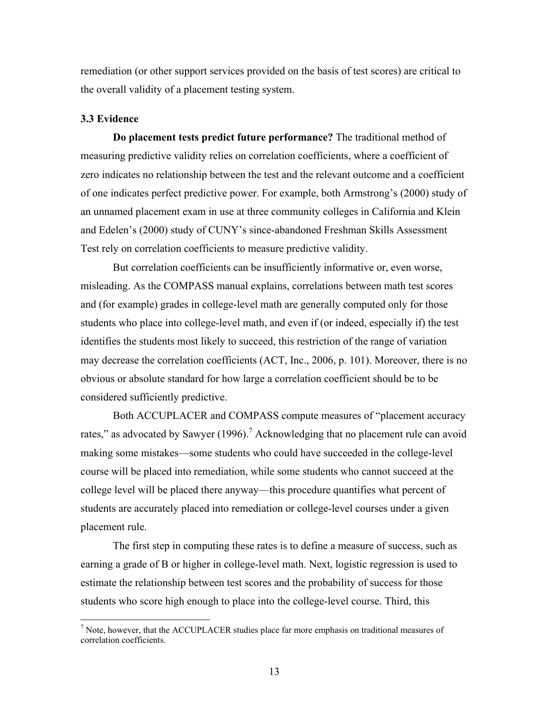remediation (or other support services provided on the basis of test scores) are critical to the overall validity of a placement testing system.

#### **3.3 Evidence**

**Do placement tests predict future performance?** The traditional method of measuring predictive validity relies on correlation coefficients, where a coefficient of zero indicates no relationship between the test and the relevant outcome and a coefficient of one indicates perfect predictive power. For example, both Armstrong's (2000) study of an unnamed placement exam in use at three community colleges in California and Klein and Edelen's (2000) study of CUNY's since-abandoned Freshman Skills Assessment Test rely on correlation coefficients to measure predictive validity.

But correlation coefficients can be insufficiently informative or, even worse, misleading. As the COMPASS manual explains, correlations between math test scores and (for example) grades in college-level math are generally computed only for those students who place into college-level math, and even if (or indeed, especially if) the test identifies the students most likely to succeed, this restriction of the range of variation may decrease the correlation coefficients (ACT, Inc., 2006, p. 101). Moreover, there is no obvious or absolute standard for how large a correlation coefficient should be to be considered sufficiently predictive.

Both ACCUPLACER and COMPASS compute measures of "placement accuracy rates," as advocated by Sawyer (1996).<sup>7</sup> Acknowledging that no placement rule can avoid making some mistakes—some students who could have succeeded in the college-level course will be placed into remediation, while some students who cannot succeed at the college level will be placed there anyway—this procedure quantifies what percent of students are accurately placed into remediation or college-level courses under a given placement rule.

The first step in computing these rates is to define a measure of success, such as earning a grade of B or higher in college-level math. Next, logistic regression is used to estimate the relationship between test scores and the probability of success for those students who score high enough to place into the college-level course. Third, this

<sup>&</sup>lt;sup>7</sup> Note, however, that the ACCUPLACER studies place far more emphasis on traditional measures of correlation coefficients.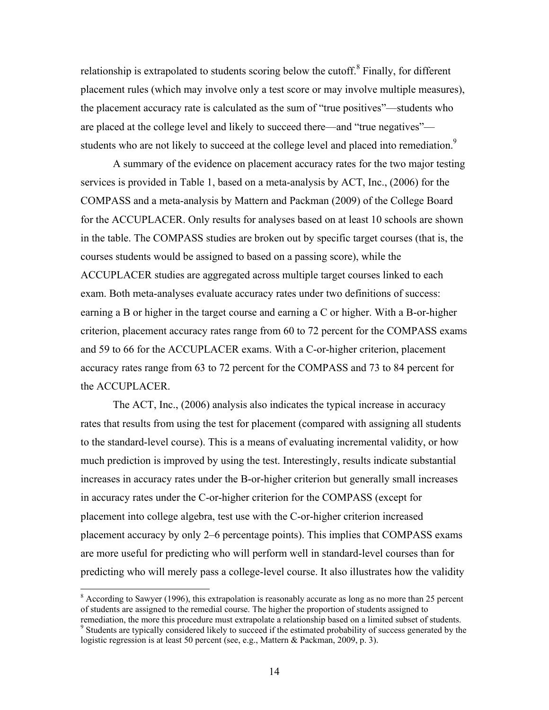relationship is extrapolated to students scoring below the cutoff. $8$  Finally, for different placement rules (which may involve only a test score or may involve multiple measures), the placement accuracy rate is calculated as the sum of "true positives"—students who are placed at the college level and likely to succeed there—and "true negatives" students who are not likely to succeed at the college level and placed into remediation.<sup>9</sup>

A summary of the evidence on placement accuracy rates for the two major testing services is provided in Table 1, based on a meta-analysis by ACT, Inc., (2006) for the COMPASS and a meta-analysis by Mattern and Packman (2009) of the College Board for the ACCUPLACER. Only results for analyses based on at least 10 schools are shown in the table. The COMPASS studies are broken out by specific target courses (that is, the courses students would be assigned to based on a passing score), while the ACCUPLACER studies are aggregated across multiple target courses linked to each exam. Both meta-analyses evaluate accuracy rates under two definitions of success: earning a B or higher in the target course and earning a C or higher. With a B-or-higher criterion, placement accuracy rates range from 60 to 72 percent for the COMPASS exams and 59 to 66 for the ACCUPLACER exams. With a C-or-higher criterion, placement accuracy rates range from 63 to 72 percent for the COMPASS and 73 to 84 percent for the ACCUPLACER.

The ACT, Inc., (2006) analysis also indicates the typical increase in accuracy rates that results from using the test for placement (compared with assigning all students to the standard-level course). This is a means of evaluating incremental validity, or how much prediction is improved by using the test. Interestingly, results indicate substantial increases in accuracy rates under the B-or-higher criterion but generally small increases in accuracy rates under the C-or-higher criterion for the COMPASS (except for placement into college algebra, test use with the C-or-higher criterion increased placement accuracy by only 2–6 percentage points). This implies that COMPASS exams are more useful for predicting who will perform well in standard-level courses than for predicting who will merely pass a college-level course. It also illustrates how the validity

<sup>&</sup>lt;sup>8</sup> According to Sawyer (1996), this extrapolation is reasonably accurate as long as no more than 25 percent of students are assigned to the remedial course. The higher the proportion of students assigned to remediation, the more this procedure must extrapolate a relationship based on a limited subset of students. <sup>9</sup> Students are typically considered likely to succeed if the estimated probability of success generated by the

logistic regression is at least 50 percent (see, e.g., Mattern & Packman, 2009, p. 3).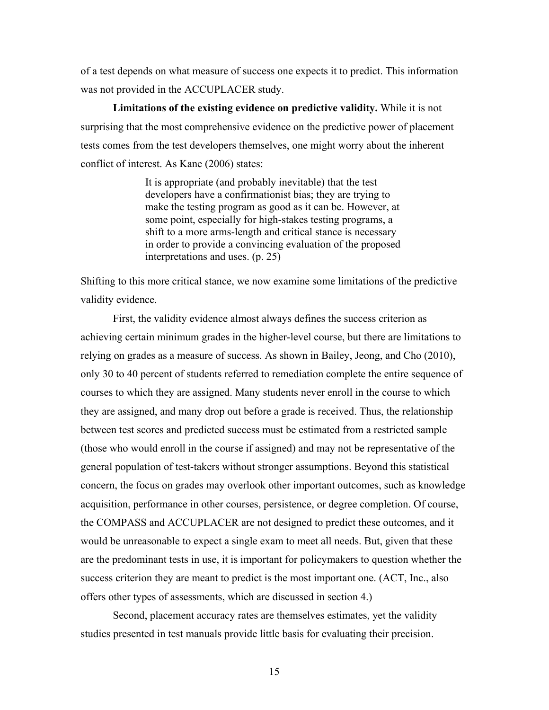of a test depends on what measure of success one expects it to predict. This information was not provided in the ACCUPLACER study.

**Limitations of the existing evidence on predictive validity.** While it is not surprising that the most comprehensive evidence on the predictive power of placement tests comes from the test developers themselves, one might worry about the inherent conflict of interest. As Kane (2006) states:

> It is appropriate (and probably inevitable) that the test developers have a confirmationist bias; they are trying to make the testing program as good as it can be. However, at some point, especially for high-stakes testing programs, a shift to a more arms-length and critical stance is necessary in order to provide a convincing evaluation of the proposed interpretations and uses. (p. 25)

Shifting to this more critical stance, we now examine some limitations of the predictive validity evidence.

First, the validity evidence almost always defines the success criterion as achieving certain minimum grades in the higher-level course, but there are limitations to relying on grades as a measure of success. As shown in Bailey, Jeong, and Cho (2010), only 30 to 40 percent of students referred to remediation complete the entire sequence of courses to which they are assigned. Many students never enroll in the course to which they are assigned, and many drop out before a grade is received. Thus, the relationship between test scores and predicted success must be estimated from a restricted sample (those who would enroll in the course if assigned) and may not be representative of the general population of test-takers without stronger assumptions. Beyond this statistical concern, the focus on grades may overlook other important outcomes, such as knowledge acquisition, performance in other courses, persistence, or degree completion. Of course, the COMPASS and ACCUPLACER are not designed to predict these outcomes, and it would be unreasonable to expect a single exam to meet all needs. But, given that these are the predominant tests in use, it is important for policymakers to question whether the success criterion they are meant to predict is the most important one. (ACT, Inc., also offers other types of assessments, which are discussed in section 4.)

Second, placement accuracy rates are themselves estimates, yet the validity studies presented in test manuals provide little basis for evaluating their precision.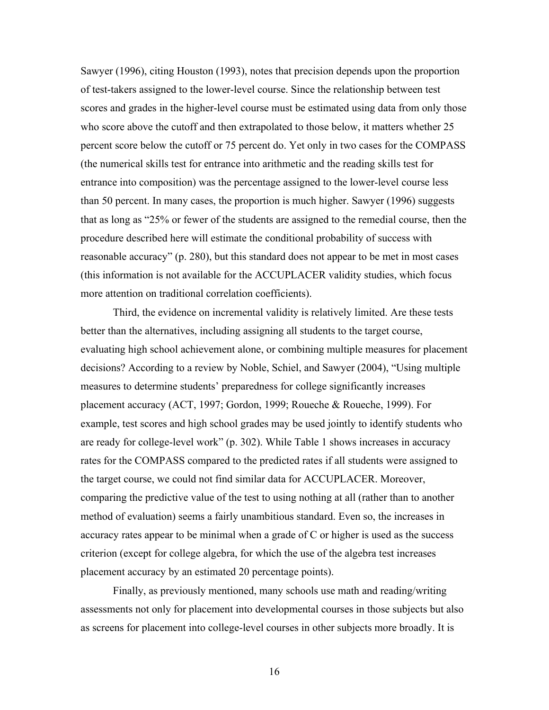Sawyer (1996), citing Houston (1993), notes that precision depends upon the proportion of test-takers assigned to the lower-level course. Since the relationship between test scores and grades in the higher-level course must be estimated using data from only those who score above the cutoff and then extrapolated to those below, it matters whether 25 percent score below the cutoff or 75 percent do. Yet only in two cases for the COMPASS (the numerical skills test for entrance into arithmetic and the reading skills test for entrance into composition) was the percentage assigned to the lower-level course less than 50 percent. In many cases, the proportion is much higher. Sawyer (1996) suggests that as long as "25% or fewer of the students are assigned to the remedial course, then the procedure described here will estimate the conditional probability of success with reasonable accuracy" (p. 280), but this standard does not appear to be met in most cases (this information is not available for the ACCUPLACER validity studies, which focus more attention on traditional correlation coefficients).

Third, the evidence on incremental validity is relatively limited. Are these tests better than the alternatives, including assigning all students to the target course, evaluating high school achievement alone, or combining multiple measures for placement decisions? According to a review by Noble, Schiel, and Sawyer (2004), "Using multiple measures to determine students' preparedness for college significantly increases placement accuracy (ACT, 1997; Gordon, 1999; Roueche & Roueche, 1999). For example, test scores and high school grades may be used jointly to identify students who are ready for college-level work" (p. 302). While Table 1 shows increases in accuracy rates for the COMPASS compared to the predicted rates if all students were assigned to the target course, we could not find similar data for ACCUPLACER. Moreover, comparing the predictive value of the test to using nothing at all (rather than to another method of evaluation) seems a fairly unambitious standard. Even so, the increases in accuracy rates appear to be minimal when a grade of C or higher is used as the success criterion (except for college algebra, for which the use of the algebra test increases placement accuracy by an estimated 20 percentage points).

Finally, as previously mentioned, many schools use math and reading/writing assessments not only for placement into developmental courses in those subjects but also as screens for placement into college-level courses in other subjects more broadly. It is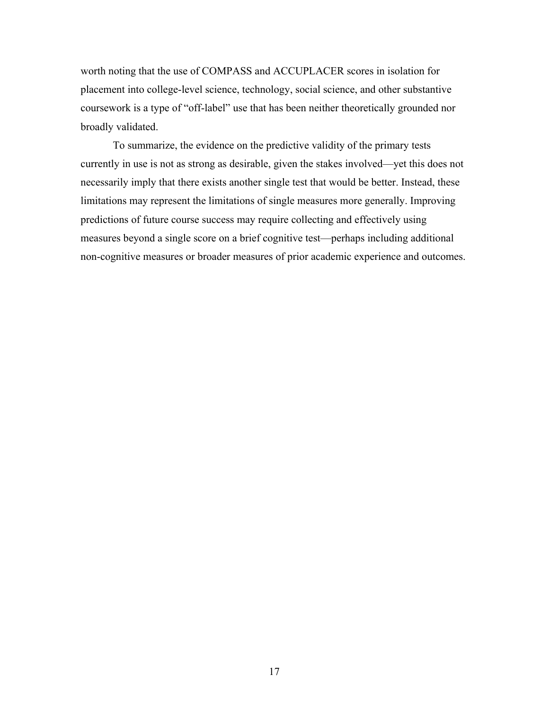worth noting that the use of COMPASS and ACCUPLACER scores in isolation for placement into college-level science, technology, social science, and other substantive coursework is a type of "off-label" use that has been neither theoretically grounded nor broadly validated.

To summarize, the evidence on the predictive validity of the primary tests currently in use is not as strong as desirable, given the stakes involved—yet this does not necessarily imply that there exists another single test that would be better. Instead, these limitations may represent the limitations of single measures more generally. Improving predictions of future course success may require collecting and effectively using measures beyond a single score on a brief cognitive test—perhaps including additional non-cognitive measures or broader measures of prior academic experience and outcomes.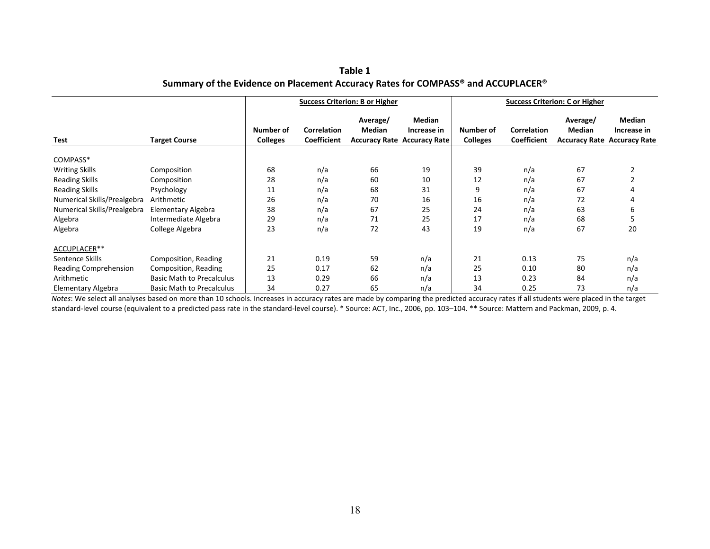| Table 1                                                                          |  |
|----------------------------------------------------------------------------------|--|
| Summary of the Evidence on Placement Accuracy Rates for COMPASS® and ACCUPLACER® |  |

|                             |                                  | <b>Success Criterion: B or Higher</b> |                                          |                           |                                                             | <b>Success Criterion: C or Higher</b> |                                   |                           |                                                             |
|-----------------------------|----------------------------------|---------------------------------------|------------------------------------------|---------------------------|-------------------------------------------------------------|---------------------------------------|-----------------------------------|---------------------------|-------------------------------------------------------------|
| Test                        | <b>Target Course</b>             | Number of<br><b>Colleges</b>          | <b>Correlation</b><br><b>Coefficient</b> | Average/<br><b>Median</b> | Median<br>Increase in<br><b>Accuracy Rate Accuracy Rate</b> | Number of<br><b>Colleges</b>          | <b>Correlation</b><br>Coefficient | Average/<br><b>Median</b> | Median<br>Increase in<br><b>Accuracy Rate Accuracy Rate</b> |
| COMPASS*                    |                                  |                                       |                                          |                           |                                                             |                                       |                                   |                           |                                                             |
| <b>Writing Skills</b>       | Composition                      | 68                                    | n/a                                      | 66                        | 19                                                          | 39                                    | n/a                               | 67                        |                                                             |
| <b>Reading Skills</b>       | Composition                      | 28                                    | n/a                                      | 60                        | 10                                                          | 12                                    | n/a                               | 67                        |                                                             |
| <b>Reading Skills</b>       | Psychology                       | 11                                    | n/a                                      | 68                        | 31                                                          | 9                                     | n/a                               | 67                        |                                                             |
| Numerical Skills/Prealgebra | Arithmetic                       | 26                                    | n/a                                      | 70                        | 16                                                          | 16                                    | n/a                               | 72                        |                                                             |
| Numerical Skills/Prealgebra | <b>Elementary Algebra</b>        | 38                                    | n/a                                      | 67                        | 25                                                          | 24                                    | n/a                               | 63                        | 6                                                           |
| Algebra                     | Intermediate Algebra             | 29                                    | n/a                                      | 71                        | 25                                                          | 17                                    | n/a                               | 68                        |                                                             |
| Algebra                     | College Algebra                  | 23                                    | n/a                                      | 72                        | 43                                                          | 19                                    | n/a                               | 67                        | 20                                                          |
| ACCUPLACER**                |                                  |                                       |                                          |                           |                                                             |                                       |                                   |                           |                                                             |
| Sentence Skills             | Composition, Reading             | 21                                    | 0.19                                     | 59                        | n/a                                                         | 21                                    | 0.13                              | 75                        | n/a                                                         |
| Reading Comprehension       | Composition, Reading             | 25                                    | 0.17                                     | 62                        | n/a                                                         | 25                                    | 0.10                              | 80                        | n/a                                                         |
| Arithmetic                  | <b>Basic Math to Precalculus</b> | 13                                    | 0.29                                     | 66                        | n/a                                                         | 13                                    | 0.23                              | 84                        | n/a                                                         |
| Elementary Algebra          | <b>Basic Math to Precalculus</b> | 34                                    | 0.27                                     | 65                        | n/a                                                         | 34                                    | 0.25                              | 73                        | n/a                                                         |

*Notes*: We select all analyses based on more than 10 schools. Increases in accuracy rates are made by comparing the predicted accuracy rates if all students were placed in the target standard-level course (equivalent to a predicted pass rate in the standard-level course). \* Source: ACT, Inc., 2006, pp. 103–104. \*\* Source: Mattern and Packman, 2009, p. 4.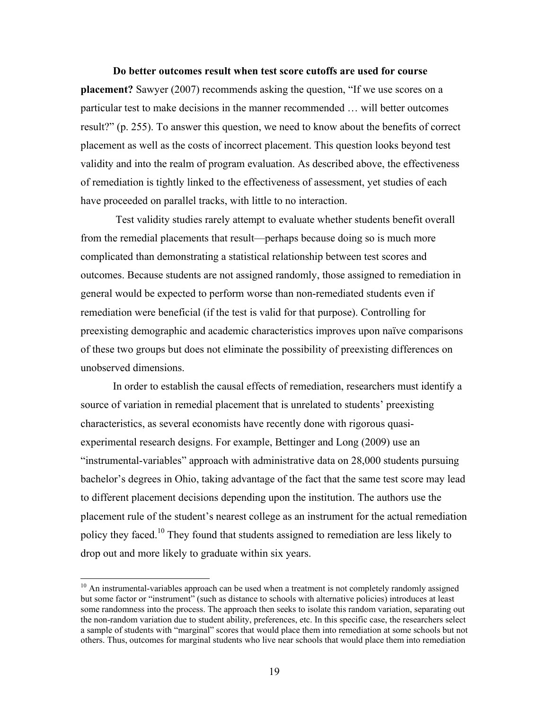**Do better outcomes result when test score cutoffs are used for course placement?** Sawyer (2007) recommends asking the question, "If we use scores on a particular test to make decisions in the manner recommended … will better outcomes result?" (p. 255). To answer this question, we need to know about the benefits of correct placement as well as the costs of incorrect placement. This question looks beyond test validity and into the realm of program evaluation. As described above, the effectiveness of remediation is tightly linked to the effectiveness of assessment, yet studies of each have proceeded on parallel tracks, with little to no interaction.

 Test validity studies rarely attempt to evaluate whether students benefit overall from the remedial placements that result—perhaps because doing so is much more complicated than demonstrating a statistical relationship between test scores and outcomes. Because students are not assigned randomly, those assigned to remediation in general would be expected to perform worse than non-remediated students even if remediation were beneficial (if the test is valid for that purpose). Controlling for preexisting demographic and academic characteristics improves upon naïve comparisons of these two groups but does not eliminate the possibility of preexisting differences on unobserved dimensions.

In order to establish the causal effects of remediation, researchers must identify a source of variation in remedial placement that is unrelated to students' preexisting characteristics, as several economists have recently done with rigorous quasiexperimental research designs. For example, Bettinger and Long (2009) use an "instrumental-variables" approach with administrative data on 28,000 students pursuing bachelor's degrees in Ohio, taking advantage of the fact that the same test score may lead to different placement decisions depending upon the institution. The authors use the placement rule of the student's nearest college as an instrument for the actual remediation policy they faced.10 They found that students assigned to remediation are less likely to drop out and more likely to graduate within six years.

 $\overline{a}$ 

 $10$  An instrumental-variables approach can be used when a treatment is not completely randomly assigned but some factor or "instrument" (such as distance to schools with alternative policies) introduces at least some randomness into the process. The approach then seeks to isolate this random variation, separating out the non-random variation due to student ability, preferences, etc. In this specific case, the researchers select a sample of students with "marginal" scores that would place them into remediation at some schools but not others. Thus, outcomes for marginal students who live near schools that would place them into remediation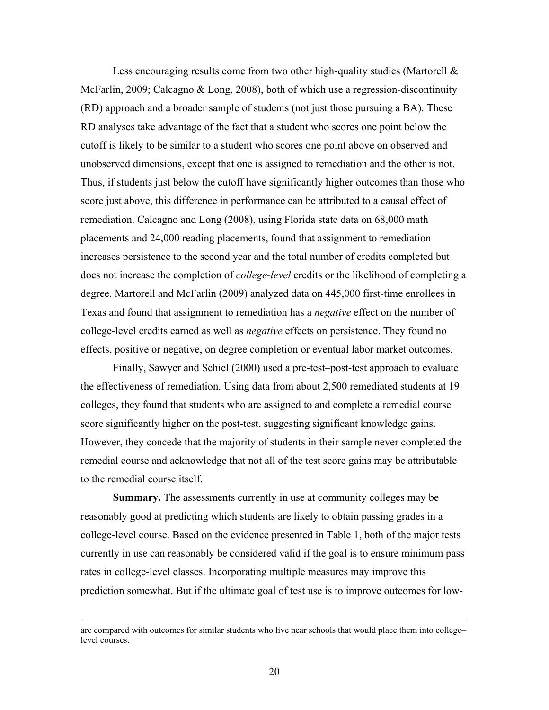Less encouraging results come from two other high-quality studies (Martorell  $\&$ McFarlin, 2009; Calcagno & Long, 2008), both of which use a regression-discontinuity (RD) approach and a broader sample of students (not just those pursuing a BA). These RD analyses take advantage of the fact that a student who scores one point below the cutoff is likely to be similar to a student who scores one point above on observed and unobserved dimensions, except that one is assigned to remediation and the other is not. Thus, if students just below the cutoff have significantly higher outcomes than those who score just above, this difference in performance can be attributed to a causal effect of remediation. Calcagno and Long (2008), using Florida state data on 68,000 math placements and 24,000 reading placements, found that assignment to remediation increases persistence to the second year and the total number of credits completed but does not increase the completion of *college-level* credits or the likelihood of completing a degree. Martorell and McFarlin (2009) analyzed data on 445,000 first-time enrollees in Texas and found that assignment to remediation has a *negative* effect on the number of college-level credits earned as well as *negative* effects on persistence. They found no effects, positive or negative, on degree completion or eventual labor market outcomes.

Finally, Sawyer and Schiel (2000) used a pre-test–post-test approach to evaluate the effectiveness of remediation. Using data from about 2,500 remediated students at 19 colleges, they found that students who are assigned to and complete a remedial course score significantly higher on the post-test, suggesting significant knowledge gains. However, they concede that the majority of students in their sample never completed the remedial course and acknowledge that not all of the test score gains may be attributable to the remedial course itself.

**Summary.** The assessments currently in use at community colleges may be reasonably good at predicting which students are likely to obtain passing grades in a college-level course. Based on the evidence presented in Table 1, both of the major tests currently in use can reasonably be considered valid if the goal is to ensure minimum pass rates in college-level classes. Incorporating multiple measures may improve this prediction somewhat. But if the ultimate goal of test use is to improve outcomes for low-

are compared with outcomes for similar students who live near schools that would place them into college– level courses.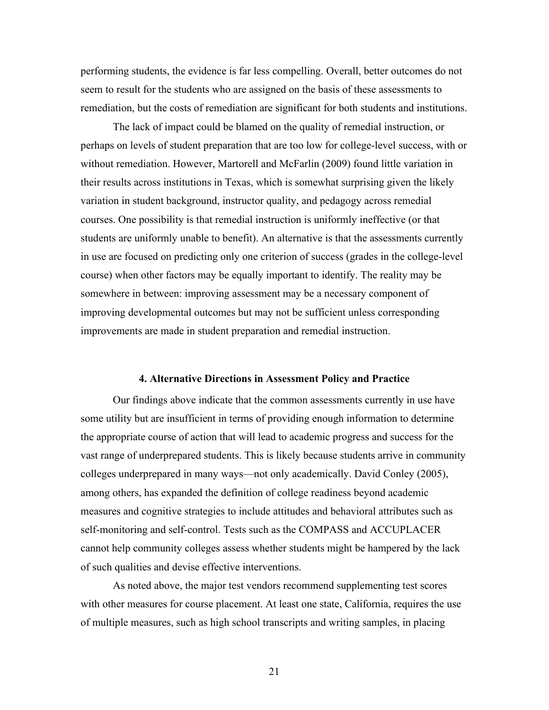performing students, the evidence is far less compelling. Overall, better outcomes do not seem to result for the students who are assigned on the basis of these assessments to remediation, but the costs of remediation are significant for both students and institutions.

The lack of impact could be blamed on the quality of remedial instruction, or perhaps on levels of student preparation that are too low for college-level success, with or without remediation. However, Martorell and McFarlin (2009) found little variation in their results across institutions in Texas, which is somewhat surprising given the likely variation in student background, instructor quality, and pedagogy across remedial courses. One possibility is that remedial instruction is uniformly ineffective (or that students are uniformly unable to benefit). An alternative is that the assessments currently in use are focused on predicting only one criterion of success (grades in the college-level course) when other factors may be equally important to identify. The reality may be somewhere in between: improving assessment may be a necessary component of improving developmental outcomes but may not be sufficient unless corresponding improvements are made in student preparation and remedial instruction.

#### **4. Alternative Directions in Assessment Policy and Practice**

Our findings above indicate that the common assessments currently in use have some utility but are insufficient in terms of providing enough information to determine the appropriate course of action that will lead to academic progress and success for the vast range of underprepared students. This is likely because students arrive in community colleges underprepared in many ways—not only academically. David Conley (2005), among others, has expanded the definition of college readiness beyond academic measures and cognitive strategies to include attitudes and behavioral attributes such as self-monitoring and self-control. Tests such as the COMPASS and ACCUPLACER cannot help community colleges assess whether students might be hampered by the lack of such qualities and devise effective interventions.

As noted above, the major test vendors recommend supplementing test scores with other measures for course placement. At least one state, California, requires the use of multiple measures, such as high school transcripts and writing samples, in placing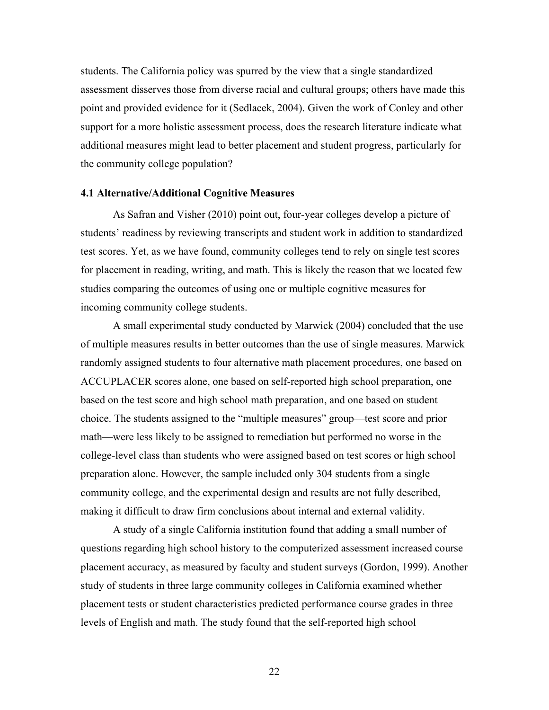students. The California policy was spurred by the view that a single standardized assessment disserves those from diverse racial and cultural groups; others have made this point and provided evidence for it (Sedlacek, 2004). Given the work of Conley and other support for a more holistic assessment process, does the research literature indicate what additional measures might lead to better placement and student progress, particularly for the community college population?

### **4.1 Alternative/Additional Cognitive Measures**

As Safran and Visher (2010) point out, four-year colleges develop a picture of students' readiness by reviewing transcripts and student work in addition to standardized test scores. Yet, as we have found, community colleges tend to rely on single test scores for placement in reading, writing, and math. This is likely the reason that we located few studies comparing the outcomes of using one or multiple cognitive measures for incoming community college students.

A small experimental study conducted by Marwick (2004) concluded that the use of multiple measures results in better outcomes than the use of single measures. Marwick randomly assigned students to four alternative math placement procedures, one based on ACCUPLACER scores alone, one based on self-reported high school preparation, one based on the test score and high school math preparation, and one based on student choice. The students assigned to the "multiple measures" group—test score and prior math—were less likely to be assigned to remediation but performed no worse in the college-level class than students who were assigned based on test scores or high school preparation alone. However, the sample included only 304 students from a single community college, and the experimental design and results are not fully described, making it difficult to draw firm conclusions about internal and external validity.

A study of a single California institution found that adding a small number of questions regarding high school history to the computerized assessment increased course placement accuracy, as measured by faculty and student surveys (Gordon, 1999). Another study of students in three large community colleges in California examined whether placement tests or student characteristics predicted performance course grades in three levels of English and math. The study found that the self-reported high school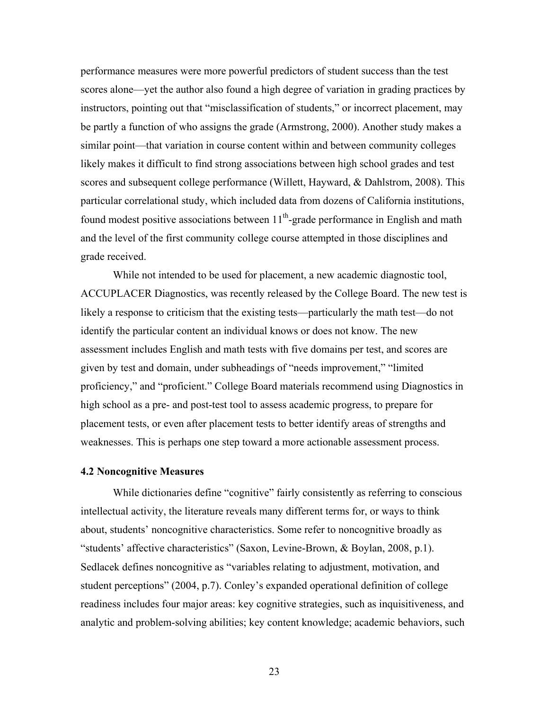performance measures were more powerful predictors of student success than the test scores alone—yet the author also found a high degree of variation in grading practices by instructors, pointing out that "misclassification of students," or incorrect placement, may be partly a function of who assigns the grade (Armstrong, 2000). Another study makes a similar point—that variation in course content within and between community colleges likely makes it difficult to find strong associations between high school grades and test scores and subsequent college performance (Willett, Hayward, & Dahlstrom, 2008). This particular correlational study, which included data from dozens of California institutions, found modest positive associations between  $11<sup>th</sup>$ -grade performance in English and math and the level of the first community college course attempted in those disciplines and grade received.

While not intended to be used for placement, a new academic diagnostic tool, ACCUPLACER Diagnostics, was recently released by the College Board. The new test is likely a response to criticism that the existing tests—particularly the math test—do not identify the particular content an individual knows or does not know. The new assessment includes English and math tests with five domains per test, and scores are given by test and domain, under subheadings of "needs improvement," "limited proficiency," and "proficient." College Board materials recommend using Diagnostics in high school as a pre- and post-test tool to assess academic progress, to prepare for placement tests, or even after placement tests to better identify areas of strengths and weaknesses. This is perhaps one step toward a more actionable assessment process.

#### **4.2 Noncognitive Measures**

While dictionaries define "cognitive" fairly consistently as referring to conscious intellectual activity, the literature reveals many different terms for, or ways to think about, students' noncognitive characteristics. Some refer to noncognitive broadly as "students' affective characteristics" (Saxon, Levine-Brown, & Boylan, 2008, p.1). Sedlacek defines noncognitive as "variables relating to adjustment, motivation, and student perceptions" (2004, p.7). Conley's expanded operational definition of college readiness includes four major areas: key cognitive strategies, such as inquisitiveness, and analytic and problem-solving abilities; key content knowledge; academic behaviors, such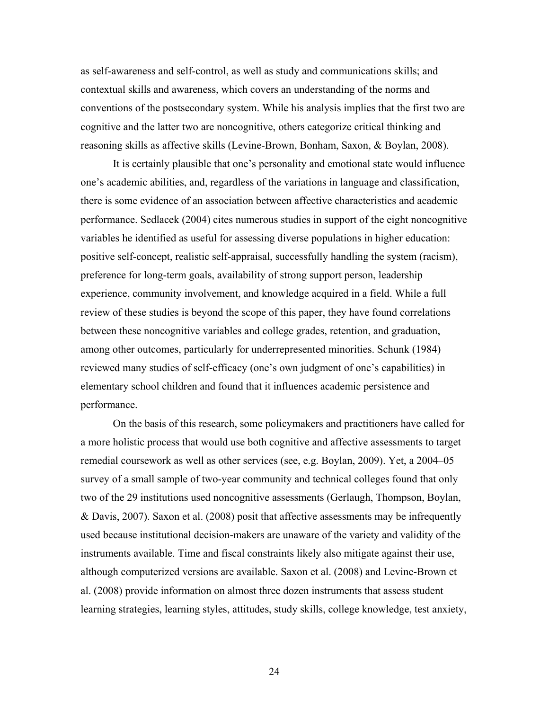as self-awareness and self-control, as well as study and communications skills; and contextual skills and awareness, which covers an understanding of the norms and conventions of the postsecondary system. While his analysis implies that the first two are cognitive and the latter two are noncognitive, others categorize critical thinking and reasoning skills as affective skills (Levine-Brown, Bonham, Saxon, & Boylan, 2008).

It is certainly plausible that one's personality and emotional state would influence one's academic abilities, and, regardless of the variations in language and classification, there is some evidence of an association between affective characteristics and academic performance. Sedlacek (2004) cites numerous studies in support of the eight noncognitive variables he identified as useful for assessing diverse populations in higher education: positive self-concept, realistic self-appraisal, successfully handling the system (racism), preference for long-term goals, availability of strong support person, leadership experience, community involvement, and knowledge acquired in a field. While a full review of these studies is beyond the scope of this paper, they have found correlations between these noncognitive variables and college grades, retention, and graduation, among other outcomes, particularly for underrepresented minorities. Schunk (1984) reviewed many studies of self-efficacy (one's own judgment of one's capabilities) in elementary school children and found that it influences academic persistence and performance.

On the basis of this research, some policymakers and practitioners have called for a more holistic process that would use both cognitive and affective assessments to target remedial coursework as well as other services (see, e.g. Boylan, 2009). Yet, a 2004–05 survey of a small sample of two-year community and technical colleges found that only two of the 29 institutions used noncognitive assessments (Gerlaugh, Thompson, Boylan, & Davis, 2007). Saxon et al. (2008) posit that affective assessments may be infrequently used because institutional decision-makers are unaware of the variety and validity of the instruments available. Time and fiscal constraints likely also mitigate against their use, although computerized versions are available. Saxon et al. (2008) and Levine-Brown et al. (2008) provide information on almost three dozen instruments that assess student learning strategies, learning styles, attitudes, study skills, college knowledge, test anxiety,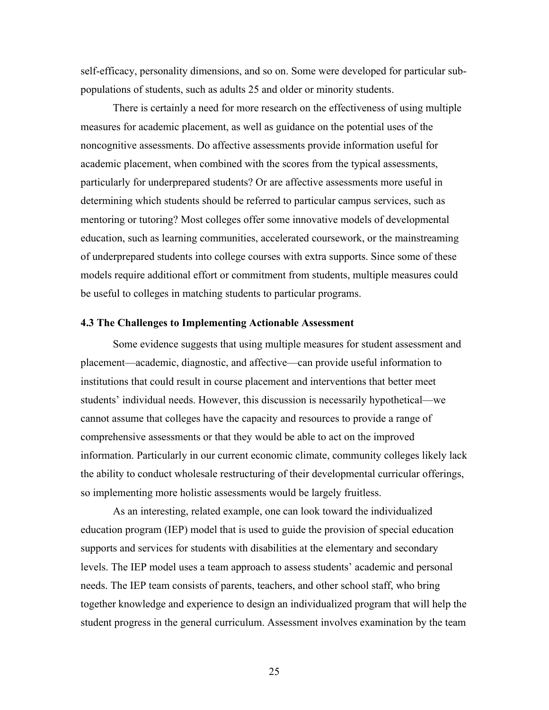self-efficacy, personality dimensions, and so on. Some were developed for particular subpopulations of students, such as adults 25 and older or minority students.

There is certainly a need for more research on the effectiveness of using multiple measures for academic placement, as well as guidance on the potential uses of the noncognitive assessments. Do affective assessments provide information useful for academic placement, when combined with the scores from the typical assessments, particularly for underprepared students? Or are affective assessments more useful in determining which students should be referred to particular campus services, such as mentoring or tutoring? Most colleges offer some innovative models of developmental education, such as learning communities, accelerated coursework, or the mainstreaming of underprepared students into college courses with extra supports. Since some of these models require additional effort or commitment from students, multiple measures could be useful to colleges in matching students to particular programs.

#### **4.3 The Challenges to Implementing Actionable Assessment**

Some evidence suggests that using multiple measures for student assessment and placement—academic, diagnostic, and affective—can provide useful information to institutions that could result in course placement and interventions that better meet students' individual needs. However, this discussion is necessarily hypothetical—we cannot assume that colleges have the capacity and resources to provide a range of comprehensive assessments or that they would be able to act on the improved information. Particularly in our current economic climate, community colleges likely lack the ability to conduct wholesale restructuring of their developmental curricular offerings, so implementing more holistic assessments would be largely fruitless.

As an interesting, related example, one can look toward the individualized education program (IEP) model that is used to guide the provision of special education supports and services for students with disabilities at the elementary and secondary levels. The IEP model uses a team approach to assess students' academic and personal needs. The IEP team consists of parents, teachers, and other school staff, who bring together knowledge and experience to design an individualized program that will help the student progress in the general curriculum. Assessment involves examination by the team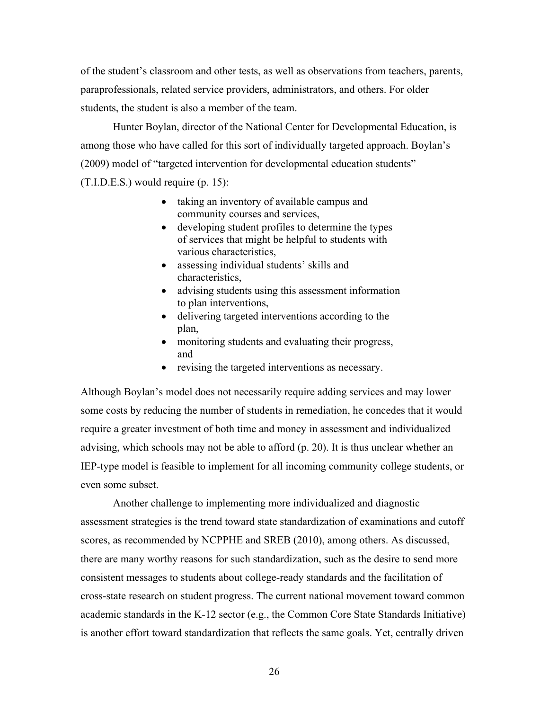of the student's classroom and other tests, as well as observations from teachers, parents, paraprofessionals, related service providers, administrators, and others. For older students, the student is also a member of the team.

Hunter Boylan, director of the National Center for Developmental Education, is among those who have called for this sort of individually targeted approach. Boylan's (2009) model of "targeted intervention for developmental education students" (T.I.D.E.S.) would require (p. 15):

- taking an inventory of available campus and community courses and services,
- developing student profiles to determine the types of services that might be helpful to students with various characteristics,
- assessing individual students' skills and characteristics,
- advising students using this assessment information to plan interventions,
- delivering targeted interventions according to the plan,
- monitoring students and evaluating their progress, and
- revising the targeted interventions as necessary.

Although Boylan's model does not necessarily require adding services and may lower some costs by reducing the number of students in remediation, he concedes that it would require a greater investment of both time and money in assessment and individualized advising, which schools may not be able to afford (p. 20). It is thus unclear whether an IEP-type model is feasible to implement for all incoming community college students, or even some subset.

Another challenge to implementing more individualized and diagnostic assessment strategies is the trend toward state standardization of examinations and cutoff scores, as recommended by NCPPHE and SREB (2010), among others. As discussed, there are many worthy reasons for such standardization, such as the desire to send more consistent messages to students about college-ready standards and the facilitation of cross-state research on student progress. The current national movement toward common academic standards in the K-12 sector (e.g., the Common Core State Standards Initiative) is another effort toward standardization that reflects the same goals. Yet, centrally driven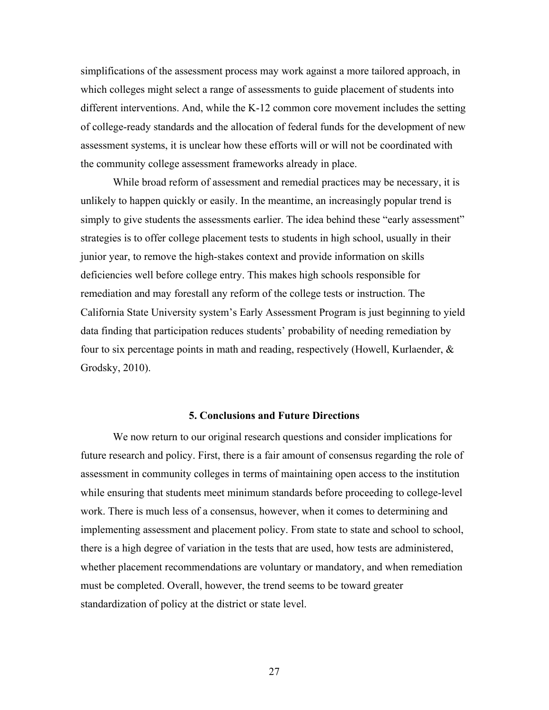simplifications of the assessment process may work against a more tailored approach, in which colleges might select a range of assessments to guide placement of students into different interventions. And, while the K-12 common core movement includes the setting of college-ready standards and the allocation of federal funds for the development of new assessment systems, it is unclear how these efforts will or will not be coordinated with the community college assessment frameworks already in place.

 While broad reform of assessment and remedial practices may be necessary, it is unlikely to happen quickly or easily. In the meantime, an increasingly popular trend is simply to give students the assessments earlier. The idea behind these "early assessment" strategies is to offer college placement tests to students in high school, usually in their junior year, to remove the high-stakes context and provide information on skills deficiencies well before college entry. This makes high schools responsible for remediation and may forestall any reform of the college tests or instruction. The California State University system's Early Assessment Program is just beginning to yield data finding that participation reduces students' probability of needing remediation by four to six percentage points in math and reading, respectively (Howell, Kurlaender, & Grodsky, 2010).

#### **5. Conclusions and Future Directions**

We now return to our original research questions and consider implications for future research and policy. First, there is a fair amount of consensus regarding the role of assessment in community colleges in terms of maintaining open access to the institution while ensuring that students meet minimum standards before proceeding to college-level work. There is much less of a consensus, however, when it comes to determining and implementing assessment and placement policy. From state to state and school to school, there is a high degree of variation in the tests that are used, how tests are administered, whether placement recommendations are voluntary or mandatory, and when remediation must be completed. Overall, however, the trend seems to be toward greater standardization of policy at the district or state level.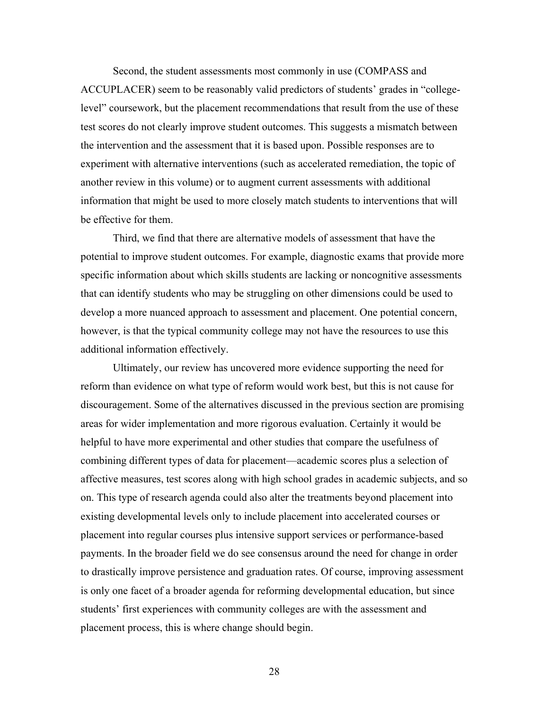Second, the student assessments most commonly in use (COMPASS and ACCUPLACER) seem to be reasonably valid predictors of students' grades in "collegelevel" coursework, but the placement recommendations that result from the use of these test scores do not clearly improve student outcomes. This suggests a mismatch between the intervention and the assessment that it is based upon. Possible responses are to experiment with alternative interventions (such as accelerated remediation, the topic of another review in this volume) or to augment current assessments with additional information that might be used to more closely match students to interventions that will be effective for them.

Third, we find that there are alternative models of assessment that have the potential to improve student outcomes. For example, diagnostic exams that provide more specific information about which skills students are lacking or noncognitive assessments that can identify students who may be struggling on other dimensions could be used to develop a more nuanced approach to assessment and placement. One potential concern, however, is that the typical community college may not have the resources to use this additional information effectively.

Ultimately, our review has uncovered more evidence supporting the need for reform than evidence on what type of reform would work best, but this is not cause for discouragement. Some of the alternatives discussed in the previous section are promising areas for wider implementation and more rigorous evaluation. Certainly it would be helpful to have more experimental and other studies that compare the usefulness of combining different types of data for placement—academic scores plus a selection of affective measures, test scores along with high school grades in academic subjects, and so on. This type of research agenda could also alter the treatments beyond placement into existing developmental levels only to include placement into accelerated courses or placement into regular courses plus intensive support services or performance-based payments. In the broader field we do see consensus around the need for change in order to drastically improve persistence and graduation rates. Of course, improving assessment is only one facet of a broader agenda for reforming developmental education, but since students' first experiences with community colleges are with the assessment and placement process, this is where change should begin.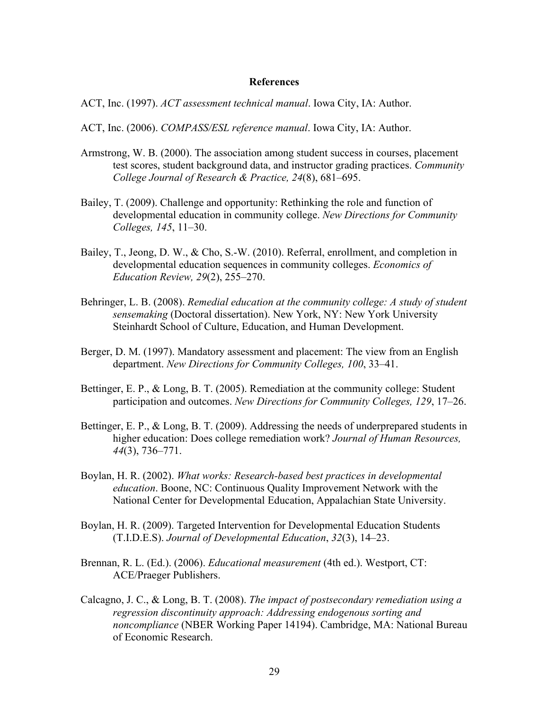### **References**

- ACT, Inc. (1997). *ACT assessment technical manual*. Iowa City, IA: Author.
- ACT, Inc. (2006). *COMPASS/ESL reference manual*. Iowa City, IA: Author.
- Armstrong, W. B. (2000). The association among student success in courses, placement test scores, student background data, and instructor grading practices. *Community College Journal of Research & Practice, 24*(8), 681–695.
- Bailey, T. (2009). Challenge and opportunity: Rethinking the role and function of developmental education in community college. *New Directions for Community Colleges, 145*, 11–30.
- Bailey, T., Jeong, D. W., & Cho, S.-W. (2010). Referral, enrollment, and completion in developmental education sequences in community colleges. *Economics of Education Review, 29*(2), 255–270.
- Behringer, L. B. (2008). *Remedial education at the community college: A study of student sensemaking* (Doctoral dissertation). New York, NY: New York University Steinhardt School of Culture, Education, and Human Development.
- Berger, D. M. (1997). Mandatory assessment and placement: The view from an English department. *New Directions for Community Colleges, 100*, 33–41.
- Bettinger, E. P., & Long, B. T. (2005). Remediation at the community college: Student participation and outcomes. *New Directions for Community Colleges, 129*, 17–26.
- Bettinger, E. P., & Long, B. T. (2009). Addressing the needs of underprepared students in higher education: Does college remediation work? *Journal of Human Resources, 44*(3), 736–771.
- Boylan, H. R. (2002). *What works: Research-based best practices in developmental education*. Boone, NC: Continuous Quality Improvement Network with the National Center for Developmental Education, Appalachian State University.
- Boylan, H. R. (2009). Targeted Intervention for Developmental Education Students (T.I.D.E.S). *Journal of Developmental Education*, *32*(3), 14–23.
- Brennan, R. L. (Ed.). (2006). *Educational measurement* (4th ed.). Westport, CT: ACE/Praeger Publishers.
- Calcagno, J. C., & Long, B. T. (2008). *The impact of postsecondary remediation using a regression discontinuity approach: Addressing endogenous sorting and noncompliance* (NBER Working Paper 14194). Cambridge, MA: National Bureau of Economic Research.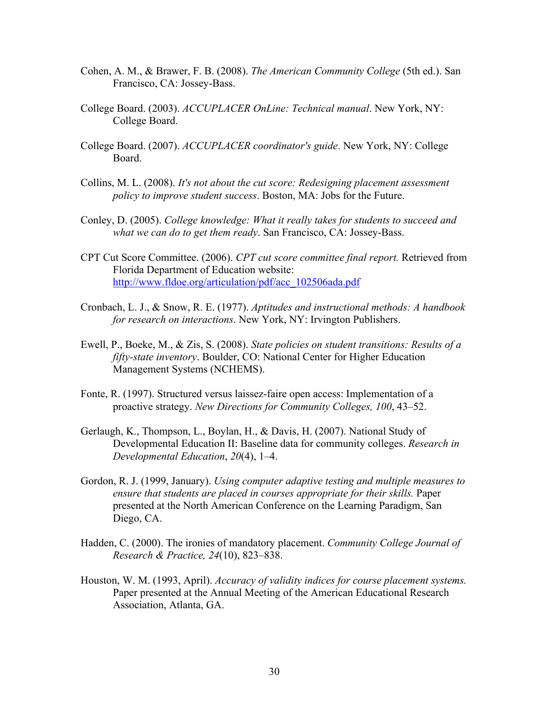- Cohen, A. M., & Brawer, F. B. (2008). *The American Community College* (5th ed.). San Francisco, CA: Jossey-Bass.
- College Board. (2003). *ACCUPLACER OnLine: Technical manual*. New York, NY: College Board.
- College Board. (2007). *ACCUPLACER coordinator's guide*. New York, NY: College Board.
- Collins, M. L. (2008). *It's not about the cut score: Redesigning placement assessment policy to improve student success*. Boston, MA: Jobs for the Future.
- Conley, D. (2005). *College knowledge: What it really takes for students to succeed and what we can do to get them ready*. San Francisco, CA: Jossey-Bass.
- CPT Cut Score Committee. (2006). *CPT cut score committee final report.* Retrieved from Florida Department of Education website: http://www.fldoe.org/articulation/pdf/acc\_102506ada.pdf
- Cronbach, L. J., & Snow, R. E. (1977). *Aptitudes and instructional methods: A handbook for research on interactions*. New York, NY: Irvington Publishers.
- Ewell, P., Boeke, M., & Zis, S. (2008). *State policies on student transitions: Results of a fifty-state inventory*. Boulder, CO: National Center for Higher Education Management Systems (NCHEMS).
- Fonte, R. (1997). Structured versus laissez-faire open access: Implementation of a proactive strategy. *New Directions for Community Colleges, 100*, 43–52.
- Gerlaugh, K., Thompson, L., Boylan, H., & Davis, H. (2007). National Study of Developmental Education II: Baseline data for community colleges. *Research in Developmental Education*, *20*(4), 1–4.
- Gordon, R. J. (1999, January). *Using computer adaptive testing and multiple measures to ensure that students are placed in courses appropriate for their skills.* Paper presented at the North American Conference on the Learning Paradigm, San Diego, CA.
- Hadden, C. (2000). The ironies of mandatory placement. *Community College Journal of Research & Practice, 24*(10), 823–838.
- Houston, W. M. (1993, April). *Accuracy of validity indices for course placement systems.*  Paper presented at the Annual Meeting of the American Educational Research Association, Atlanta, GA.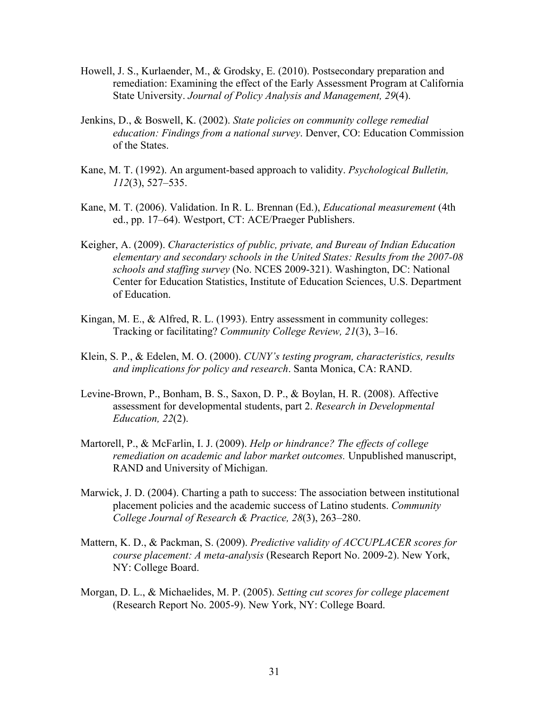- Howell, J. S., Kurlaender, M., & Grodsky, E. (2010). Postsecondary preparation and remediation: Examining the effect of the Early Assessment Program at California State University. *Journal of Policy Analysis and Management, 29*(4).
- Jenkins, D., & Boswell, K. (2002). *State policies on community college remedial education: Findings from a national survey*. Denver, CO: Education Commission of the States.
- Kane, M. T. (1992). An argument-based approach to validity. *Psychological Bulletin, 112*(3), 527–535.
- Kane, M. T. (2006). Validation. In R. L. Brennan (Ed.), *Educational measurement* (4th ed., pp. 17–64). Westport, CT: ACE/Praeger Publishers.
- Keigher, A. (2009). *Characteristics of public, private, and Bureau of Indian Education elementary and secondary schools in the United States: Results from the 2007-08 schools and staffing survey* (No. NCES 2009-321). Washington, DC: National Center for Education Statistics, Institute of Education Sciences, U.S. Department of Education.
- Kingan, M. E., & Alfred, R. L. (1993). Entry assessment in community colleges: Tracking or facilitating? *Community College Review, 21*(3), 3–16.
- Klein, S. P., & Edelen, M. O. (2000). *CUNY's testing program, characteristics, results and implications for policy and research*. Santa Monica, CA: RAND.
- Levine-Brown, P., Bonham, B. S., Saxon, D. P., & Boylan, H. R. (2008). Affective assessment for developmental students, part 2. *Research in Developmental Education, 22*(2).
- Martorell, P., & McFarlin, I. J. (2009). *Help or hindrance? The effects of college remediation on academic and labor market outcomes.* Unpublished manuscript, RAND and University of Michigan.
- Marwick, J. D. (2004). Charting a path to success: The association between institutional placement policies and the academic success of Latino students. *Community College Journal of Research & Practice, 28*(3), 263–280.
- Mattern, K. D., & Packman, S. (2009). *Predictive validity of ACCUPLACER scores for course placement: A meta-analysis* (Research Report No. 2009-2). New York, NY: College Board.
- Morgan, D. L., & Michaelides, M. P. (2005). *Setting cut scores for college placement* (Research Report No. 2005-9). New York, NY: College Board.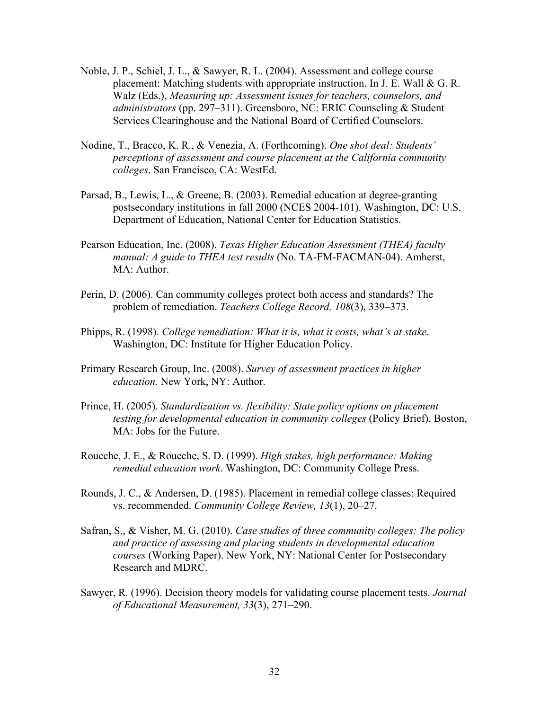- Noble, J. P., Schiel, J. L., & Sawyer, R. L. (2004). Assessment and college course placement: Matching students with appropriate instruction. In J. E. Wall & G. R. Walz (Eds.), *Measuring up: Assessment issues for teachers, counselors, and administrators* (pp. 297–311). Greensboro, NC: ERIC Counseling & Student Services Clearinghouse and the National Board of Certified Counselors.
- Nodine, T., Bracco, K. R., & Venezia, A. (Forthcoming). *One shot deal: Students' perceptions of assessment and course placement at the California community colleges*. San Francisco, CA: WestEd.
- Parsad, B., Lewis, L., & Greene, B. (2003). Remedial education at degree-granting postsecondary institutions in fall 2000 (NCES 2004-101). Washington, DC: U.S. Department of Education, National Center for Education Statistics.
- Pearson Education, Inc. (2008). *Texas Higher Education Assessment (THEA) faculty manual: A guide to THEA test results* (No. TA-FM-FACMAN-04). Amherst, MA: Author.
- Perin, D. (2006). Can community colleges protect both access and standards? The problem of remediation. *Teachers College Record, 108*(3), 339–373.
- Phipps, R. (1998). *College remediation: What it is, what it costs, what's at stake*. Washington, DC: Institute for Higher Education Policy.
- Primary Research Group, Inc. (2008). *Survey of assessment practices in higher education.* New York, NY: Author.
- Prince, H. (2005). *Standardization vs. flexibility: State policy options on placement testing for developmental education in community colleges* (Policy Brief). Boston, MA: Jobs for the Future.
- Roueche, J. E., & Roueche, S. D. (1999). *High stakes, high performance: Making remedial education work*. Washington, DC: Community College Press.
- Rounds, J. C., & Andersen, D. (1985). Placement in remedial college classes: Required vs. recommended. *Community College Review, 13*(1), 20–27.
- Safran, S., & Visher, M. G. (2010). *Case studies of three community colleges: The policy and practice of assessing and placing students in developmental education courses* (Working Paper). New York, NY: National Center for Postsecondary Research and MDRC.
- Sawyer, R. (1996). Decision theory models for validating course placement tests. *Journal of Educational Measurement, 33*(3), 271–290.